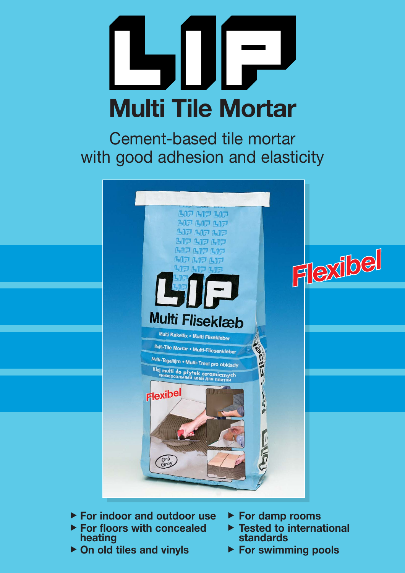# $\overline{r}$ **Multi Tile Mortar**

Cement-based tile mortar with good adhesion and elasticity



- **For indoor and outdoor use**
- ▶ For indoor and outdoor us<br>▶ For floors with concealed **heating**
- ▶ On old tiles and vinyls
- **For damp rooms**
- ▶ For damp rooms<br>▶ Tested to international **standards**
- ▶ For swimming pools